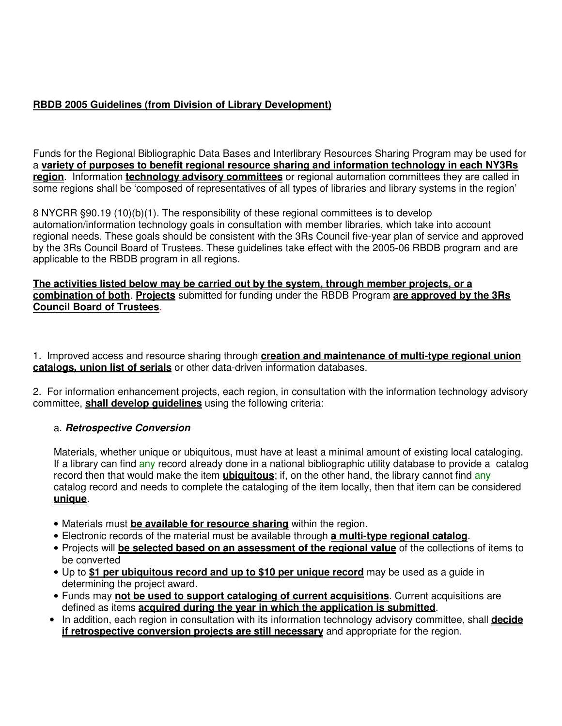# **RBDB 2005 Guidelines (from Division of Library Development)**

Funds for the Regional Bibliographic Data Bases and Interlibrary Resources Sharing Program may be used for a **variety of purposes to benefit regional resource sharing and information technology in each NY3Rs region**. Information **technology advisory committees** or regional automation committees they are called in some regions shall be 'composed of representatives of all types of libraries and library systems in the region'

8 NYCRR §90.19 (10)(b)(1). The responsibility of these regional committees is to develop automation/information technology goals in consultation with member libraries, which take into account regional needs. These goals should be consistent with the 3Rs Council five-year plan of service and approved by the 3Rs Council Board of Trustees. These guidelines take effect with the 2005-06 RBDB program and are applicable to the RBDB program in all regions.

#### **The activities listed below may be carried out by the system, through member projects, or a combination of both**. **Projects** submitted for funding under the RBDB Program **are approved by the 3Rs Council Board of Trustees**.

1. Improved access and resource sharing through **creation and maintenance of multi-type regional union catalogs, union list of serials** or other data-driven information databases.

2. For information enhancement projects, each region, in consultation with the information technology advisory committee, **shall develop guidelines** using the following criteria:

## a. **Retrospective Conversion**

Materials, whether unique or ubiquitous, must have at least a minimal amount of existing local cataloging. If a library can find any record already done in a national bibliographic utility database to provide a catalog record then that would make the item **ubiquitous**; if, on the other hand, the library cannot find any catalog record and needs to complete the cataloging of the item locally, then that item can be considered **unique**.

- Materials must **be available for resource sharing** within the region.
- Electronic records of the material must be available through **a multi-type regional catalog**.
- Projects will **be selected based on an assessment of the regional value** of the collections of items to be converted
- Up to **\$1 per ubiquitous record and up to \$10 per unique record** may be used as a guide in determining the project award.
- Funds may **not be used to support cataloging of current acquisitions**. Current acquisitions are defined as items **acquired during the year in which the application is submitted**.
- In addition, each region in consultation with its information technology advisory committee, shall **decide if retrospective conversion projects are still necessary** and appropriate for the region.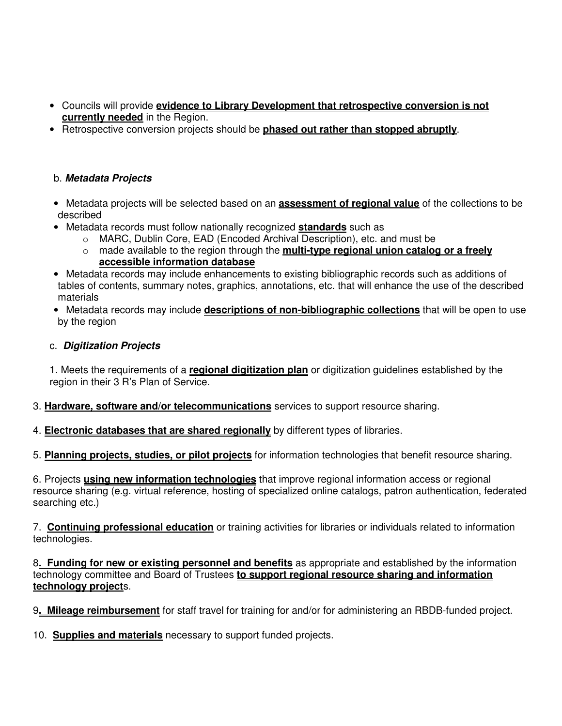- Councils will provide **evidence to Library Development that retrospective conversion is not currently needed** in the Region.
- Retrospective conversion projects should be **phased out rather than stopped abruptly**.

## b. **Metadata Projects**

- Metadata projects will be selected based on an **assessment of regional value** of the collections to be described
- Metadata records must follow nationally recognized **standards** such as
	- o MARC, Dublin Core, EAD (Encoded Archival Description), etc. and must be
	- o made available to the region through the **multi-type regional union catalog or a freely accessible information database**
- Metadata records may include enhancements to existing bibliographic records such as additions of tables of contents, summary notes, graphics, annotations, etc. that will enhance the use of the described materials
- Metadata records may include **descriptions of non-bibliographic collections** that will be open to use by the region

#### c. **Digitization Projects**

1. Meets the requirements of a **regional digitization plan** or digitization guidelines established by the region in their 3 R's Plan of Service.

- 3. **Hardware, software and/or telecommunications** services to support resource sharing.
- 4. **Electronic databases that are shared regionally** by different types of libraries.
- 5. **Planning projects, studies, or pilot projects** for information technologies that benefit resource sharing.

6. Projects **using new information technologies** that improve regional information access or regional resource sharing (e.g. virtual reference, hosting of specialized online catalogs, patron authentication, federated searching etc.)

7. **Continuing professional education** or training activities for libraries or individuals related to information technologies.

8**. Funding for new or existing personnel and benefits** as appropriate and established by the information technology committee and Board of Trustees **to support regional resource sharing and information technology project**s.

9**. Mileage reimbursement** for staff travel for training for and/or for administering an RBDB-funded project.

10. **Supplies and materials** necessary to support funded projects.